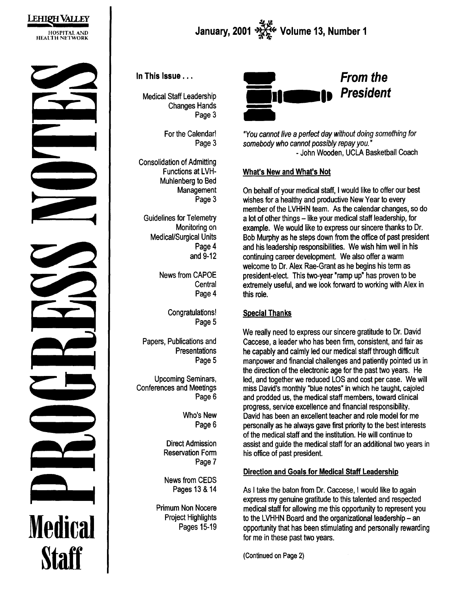



## **January, 2001 \*Volume** 13, **Number 1**

In This Issue ...

Medical Staff Leadership Changes Hands Page 3

> For the Calendar! Page 3

Consolidation of Admitting Functions at LVH-Muhlenberg to Bed **Management** Page 3

Guidelines for Telemetry Monitoring on Medical/Surgical Units Page 4 and 9-12

> News from CAPOE **Central** Page 4

> > Congratulations! Page 5

Papers, Publications and Presentations Page 5

Upcoming Seminars, Conferences and Meetings Page 6

> Who's New Page 6

Direct Admission Reservation Form Page 7

News from CEDS Pages 13 & 14

Primum Non Nocere Project Highlights Pages 15-19



"You cannot live a perfect day without doing something for somebody who cannot possibly repay you." - John Wooden, UCLA Basketball Coach

## What's New and What's Not

On behalf of your medical staff, I would like to offer our best wishes for a healthy and productive New Year to every member of the LVHHN team. As the calendar changes, so do a lot of other things – like your medical staff leadership, for example. We would like to express our sincere thanks to Dr. Bob Murphy as he steps down from the office of past president and his leadership responsibilities. We wish him well in his continuing career development. We also offer a warm welcome to Dr. Alex Rae-Grant as he begins his term as president-elect. This two-year "ramp up" has proven to be extremely useful, and we look forward to working with Alex in this role.

## Special Thanks

We really need to express our sincere gratitude to Dr. David Caccese, a leader who has been firm, consistent, and fair as he capably and calmly led our medical staff through difficult manpower and financial challenges and patiently pointed us in the direction of the electronic age for the past two years. He led, and together we reduced LOS and cost per case. We will miss David's monthly "blue notes" in which he taught, cajoled and prodded us, the medical staff members, toward clinical progress, service excellence and financial responsibility. David has been an excellent teacher and role model for me personally as he always gave first priority to the best interests of the medical staff and the institution. He will continue to assist and guide the medical staff for an additional two years in his office of past president.

#### Direction and Goals for Medical Staff Leadership

As I take the baton from Dr. Caccese, I would like to again express my genuine gratitude to this talented and respected medical staff for allowing me this opportunity to represent you to the LVHHN Board and the organizational leadership - an opportunity that has been stimulating and personally rewarding for me in these past two years.

(Continued on Page 2)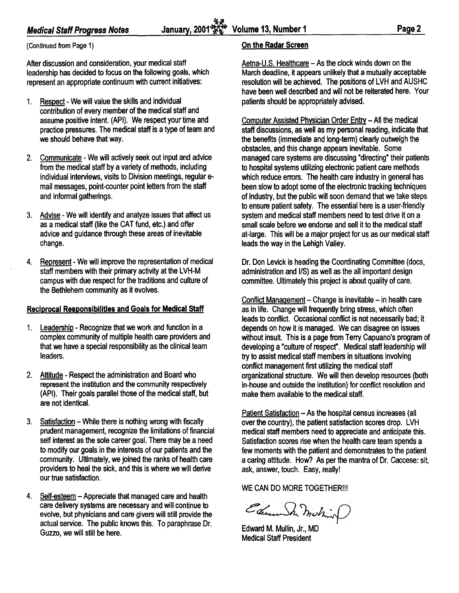#### (Continued from Page 1)

After discussion and consideration, your medical staff leadership has decided to focus on the following goals, which represent an appropriate continuum with current initiatives:

- 1. Respect We will value the skills and individual contribution of every member of the medical staff and assume positive intent. {API). We respect your time and practice pressures. The medical staff is a type of team and we should behave that way.
- 2. Communicate We will actively seek out input and advice from the medical staff by a variety of methods, including individual interviews, visits to Division meetings, regular email messages, point-counter point letters from the staff and informal gatherings.
- 3. Advise- We will identify and analyze issues that affect us as a medical staff {like the CAT fund, etc.) and offer advice and guidance through these areas of inevitable change.
- 4. Represent- We will improve the representation of medical staff members with their primary activity at the LVH-M campus with due respect for the traditions and culture of the Bethlehem community as it evolves.

#### **Reciprocal Responsibilities and Goals for Medical Staff**

- 1. Leadership Recognize that we work and function in a complex community of multiple health care providers and that we have a special responsibility as the clinical team leaders.
- 2. Attitude- Respect the administration and Board who represent the institution and the community respectively {API). Their goals parallel those of the medical staff, but are not identical.
- 3. Satisfaction- While there is nothing wrong with fiscally prudent management, recognize the limitations of financial self interest as the sole career goal. There may be a need to modify our goals in the interests of our patients and the community. Ultimately, we joined the ranks of health care providers to heal the sick, and this is where we will derive our true satisfaction.
- 4. Self-esteem -Appreciate that managed care and health care delivery systems are necessary and will continue to evolve, but physicians and care givers will still provide the actual service. The public knows this. To paraphrase Dr. Guzzo, we will still be here.

#### **On the Radar Screen**

Aetna-U.S. Healthcare - As the clock winds down on the March deadline, it appears unlikely that a mutually acceptable resolution will be achieved. The positions of LVH and AUSHC have been well described and will not be reiterated here. Your patients should be appropriately advised.

Computer Assisted Physician Order Entry - All the medical staff discussions, as well as my personal reading, indicate that the benefits {immediate and long-term) clearly outweigh the obstacles, and this change appears inevitable. Some managed care systems are discussing "directing" their patients to hospital systems utilizing electronic patient care methods which reduce errors. The health care industry in general has been slow to adopt some of the electronic tracking techniques of industry, but the public will soon demand that we take steps to ensure patient safety. The essential here is a user-friendly system and medical staff members need to test drive it on a small scale before we endorse and sell it to the medical staff at-large. This will be a major project for us as our medical staff leads the way in the Lehigh Valley.

Dr. Don Levick is heading the Coordinating Committee {docs, administration and 1/S) as well as the all important design committee. Ultimately this project is about quality of care.

Conflict Management - Change is inevitable - in health care as in life. Change will frequently bring stress, which often leads to conflict. Occasional conflict is not necessarily bad; it depends on how it is managed. We can disagree on issues without insult. This is a page from Terry Capuano's program of developing a "culture of respect". Medical staff leadership will try to assist medical staff members in situations involving conflict management first utilizing the medical staff organizational structure. We will then develop resources {both in-house and outside the institution} for conflict resolution and make them available to the medical staff.

Patient Satisfaction - As the hospital census increases (all over the country), the patient satisfaction scores drop. LVH medical staff members need to appreciate and anticipate this. Satisfaction scores rise when the health care team spends a few moments with the patient and demonstrates to the patient a caring attitude. How? As per the mantra of Dr. Caccese: sit, ask, answer, touch. Easy, really!

WE CAN DO MORE TOGETHER!!!

Education mother

Edward M. Mullin, Jr., MD Medical Staff President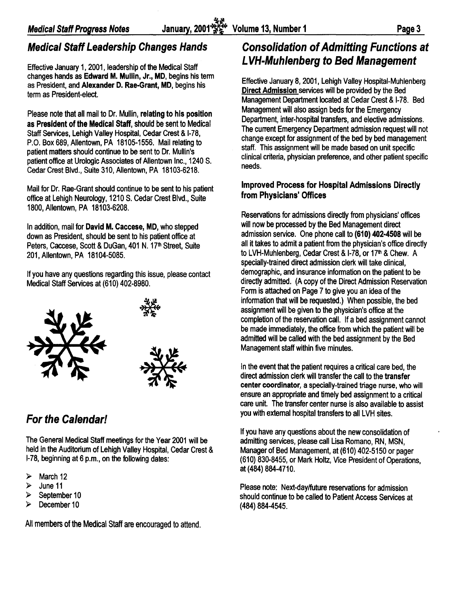changes hands as Edward M. Mullin, Jr., MD, begins his term as President, and Alexander D. Rae-Grant, MD, begins his term as President-elect.

Please note that all mail to Dr. Mullin, relating to his position as President of the Medical Staff, should be sent to Medical Staff Services, Lehigh Valley Hospital, Cedar Crest & 1-78, P.O. Box 689, Allentown, PA 18105-1556. Mail relating to patient matters should continue to be sent to Dr. Mullin's patient office at Urologic Associates of Allentown Inc., 1240 S. Cedar Crest Blvd., Suite 310, Allentown, PA 18103-6218.

Mail for Dr. Rae-Grant should continue to be sent to his patient office at Lehigh Neurology, 1210 S. Cedar Crest Blvd., Suite 1800, Allentown, PA 18103-6208.

In addition, mail for David M. Caccese, MD, who stepped down as President, should be sent to his patient office at Peters, Caccese, Scott & DuGan, 401 N. 17th Street, Suite 201, Allentown, PA 18104-5085.

If you have any questions regarding this issue, please contact Medical Staff Services at (610) 402-8980.



## For the Calendar!

The General Medical Staff meetings for the Year 2001 will be held in the Auditorium of Lehigh Valley Hospital, Cedar Crest & 1-78, beginning at 6 p.m., on the following dates:

- $>$  March 12
- $\triangleright$  June 11
- $\triangleright$  September 10
- $\triangleright$  December 10

All members of the Medical Staff are encouraged to attend.

## Medical Staff Leadership Changes Hands Consolidation of Admitting Functions at Effective January 1, 2001, leadership of the Medical Staff **LVH-Muhlenberg to Bed Management**

Effective January 8, 2001, Lehigh Valley Hospital-Muhlenberg Direct Admission services will be provided by the Bed Management Department located at Cedar Crest & 1-78. Bed Management will also assign beds for the Emergency Department, inter-hospital transfers, and elective admissions. The current Emergency Department admission request will not change except for assignment of the bed by bed management staff. This assignment will be made based on unit specific clinical criteria, physician preference, and other patient specific needs.

## Improved Process for Hospital Admissions Directly from Physicians' Offices

Reservations for admissions directly from physicians' offices will now be processed by the Bed Management direct admission service. One phone call to (610) 402·4508 will be all it takes to admit a patient from the physician's office directly to LVH-Muhlenberg, Cedar Crest & I-78, or 17<sup>th</sup> & Chew. A specially-trained direct admission clerk will take clinical, demographic, and insurance information on the patient to be directly admitted. (A copy of the Direct Admission Reservation Form is attached on Page 7 to give you an idea of the information that will be requested.} When possible, the bed assignment will be given to the physician's office at the completion of the reservation call. If a bed assignment cannot be made immediately, the office from which the patient will be admitted will be called with the bed assignment by the Bed Management staff within five minutes.

In the event that the patient requires a critical care bed, the direct admission clerk will transfer the call to the transfer center coordinator, a specially-trained triage nurse, who will ensure an appropriate and timely bed assignment to a critical care unit. The transfer center nurse is also available to assist you with external hospital transfers to all LVH sites.

If you have any questions about the new consolidation of admitting services, please call Lisa Romano, RN, MSN, Manager of Bed Management, at (610} 402-5150 or pager (610) 830-8455, or Mark Holtz, Vice President of Operations, at (484) 884-4710.

Please *note:* Next-day/future reservations for admission should continue to be called to Patient Access Services at ( 484) 884-4545.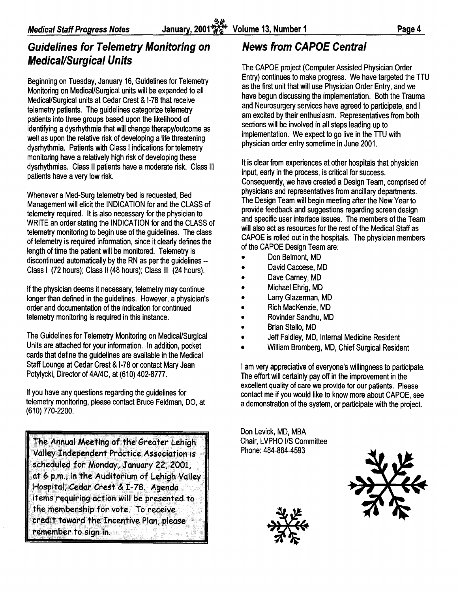## **Guidelines for Telemetry Monitoring on Medical/Surgical Units**

Beginning on Tuesday, January 16, Guidelines for Telemetry Monitoring on Medical/Surgical units will be expanded to all Medical/Surgical units at Cedar Crest & 1-78 that receive telemetry patients. The quidelines categorize telemetry patients into three groups based upon the likelihood of identifying a dysrhythmia that will change therapy/outcome as well as upon the relative risk of developing a life threatening dysrhythmia. Patients with Class I indications for telemetry monitoring have a relatively high risk of developing these dysrhythmias. Class II patients have a moderate risk. Class Ill patients have a very low risk.

Whenever a Med-Surg telemetry bed is requested, Bed Management will elicit the INDICATION for and the CLASS of telemetry required. It is also necessary for the physician to WRITE an order stating the INDICATION for and the CLASS of telemetry monitoring to begin use of the guidelines. The class of telemetry is required information, since it clearly defines the length of time the patient will be monitored. Telemetry is discontinued automatically by the RN as per the guidelines -- Class I (72 hours); Class II (48 hours); Class Ill (24 hours).

If the physician deems it necessary, telemetry may continue longer than defined in the guidelines. However, a physician's order and documentation of the indication for continued telemetry monitoring is required in this instance.

The Guidelines for Telemetry Monitoring on Medical/Surgical Umts are attached for your information. In addition, pocket cards that define the guidelines are available in the Medical Staff Lounge at Cedar Crest & 1-78 or contact Mary Jean Potylycki, Director of 4A/4C, at (610) 402-8777.

If you have any questions regarding the guidelines for telemetry monitoring, please contact Bruce Feldman, DO, at (610) 770-2200.

The Annual Meeting of the Greater Lehigh Valley Independent Practice Association is scheduled for Monday, January 22, 2001, at 6 p.m.; in the Auditorium of Lehigh Valley Hospital, Cedar Crest& I-78. Agenda items requiring action will be presented to the membership for vote. To receive credit toward the Incentive Plan, please remember to sign in.

## **News from CAPOE Central**

The CAPOE project (Computer Assisted Physician Order Entry) continues to make progress. We have targeted the TTU as the first unit that will use Physician Order Entry, and we have begun discussing the implementation. Both the Trauma and Neurosurgery services have agreed to participate, and I am excited by their enthusiasm. Representatives from both sections will be involved in all steps leading up to implementation. We expect to go live in the TTU with physician order entry sometime in June 2001.

It is clear from experiences at other hospitals that physician input, early in the process, is critical for success. Consequently, we have created a Design Team, comprised of physicians and representatives from ancillary departments. The Design Team will begin meeting after the New Year to provide feedback and suggestions regarding screen design and specific user interface issues. The members of the Team will also act as resources for the rest of the Medical Staff as CAPOE is rolled out in the hospitals. The physician members of the CAPOE Design Team are:

- Don Belmont, MD
- David Caccese, MD
- Dave Carney, MD
- Michael Ehrig, MD
- Larry Glazerman, MD
- Rich MacKenzie, MD
- Rovinder Sandhu, MD
- Brian Stella, MD
- Jeff Faidley, MD, Internal Medicine Resident
- William Bromberg, MD, Chief Surgical Resident

I am very appreciative of everyone's willingness to participate. The effort will certainly pay off in the improvement in the excellent quality of care we provide for our patients. Please contact me if you would like to know more about CAPOE, see a demonstration of the system, or participate with the project.

Don Levick, MD, MBA Chair, LVPHO 1/S Committee Phone: 484-884-4593



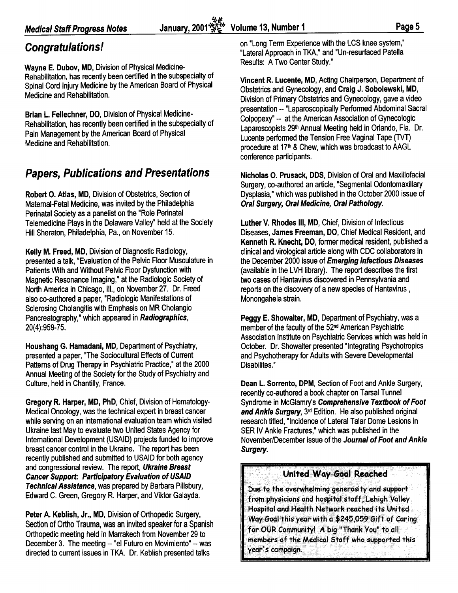## Medical Staff Progress Notes January, 2001

## Congratulations!

Wayne E. Dubov, MD, Division of Physical Medicine-Rehabilitation, has recently been certified in the subspecialty of Spinal Cord Injury Medicine by the American Board of Physical Medicine and Rehabilitation.

Brian L. Fellechner, DO, Division of Physical Medicine-Rehabilitation, has recently been certified in the subspecialty of Pain Management by the American Board of Physical Medicine and Rehabilitation.

## Papers, Publications and Presentations

Robert 0. Atlas, MD, Division of Obstetrics, Section of Maternal-Fetal Medicine, was invited by the Philadelphia Perinatal Society as a panelist on the "Role Perinatal Telemedicine Plays in the Delaware Valley" held at the Society Hill Sheraton, Philadelphia, Pa., on November 15.

Kelly M. Freed, MD, Division of Diagnostic Radiology, presented a talk, "Evaluation of the Pelvic Floor Musculature in Patients With and Without Pelvic Floor Dysfunction with Magnetic Resonance Imaging," at the Radiologic Society of North America in Chicago, Ill., on November 27. Dr. Freed also co-authored a paper, "Radiologic Manifestations of Sclerosing Cholangitis with Emphasis on MR Cholangio Pancreatography," which appeared in Radiographics. 20(4):959-75.

Houshang G. Hamadani, MD, Department of Psychiatry, presented a paper, "The Sociocultural Effects of Current Patterns of Drug Therapy in Psychiatric Practice," at the 2000 Annual Meeting of the Society for the Study of Psychiatry and Culture, held in Chantilly, France.

Gregory R. Harper, MD, PhD, Chief, Division of Hematology-Medical Oncology, was the technical expert in breast cancer while serving on an international evaluation team which visited Ukraine last May to evaluate two United States Agency for International Development (USAID) projects funded to improve breast cancer control in the Ukraine. The report has been recently published and submitted to USAID for both agency and congressional review. The report, Ukraine Breast Cancer Support: Participatory Evaluation of USAID Technical Assistance, was prepared by Barbara Pillsbury, Edward C. Green, Gregory R. Harper, and Viktor Galayda.

Peter A. Keblish, Jr., MD, Division of Orthopedic Surgery, Section of Ortho Trauma, was an invited speaker for a Spanish Orthopedic meeting held in Marrakech from November 29 to December 3. The meeting -- "el Futuro en Movimiento" -- was directed to current issues in TKA. Dr. Keblish presented talks

on "Long Term Experience with the LCS knee system," "Lateral Approach in TKA," and "Un-resurfaced Patella Results: A Two Center Study."

Vincent R. Lucente, MD, Acting Chairperson, Department of Obstetrics and Gynecology, and Craig J. Sobolewski, MD, Division of Primary Obstetrics and Gynecology, gave a video presentation -- "Laparoscopically Performed Abdominal Sacral Colpopexy" -- at the American Association of Gynecologic Laparoscopists 29<sup>th</sup> Annual Meeting held in Orlando, Fla. Dr. Lucente performed the Tension Free Vaginal Tape (TVT) procedure at 17<sup>th</sup> & Chew, which was broadcast to AAGL conference participants.

Nicholas 0. Prusack, DDS, Division of Oral and Maxillofacial Surgery, co-authored an article, "Segmental Odontomaxillary Dysplasia," which was published in the October 2000 issue of Oral Surgery, Oral Medicine, Oral Pathology.

Luther V. Rhodes Ill, MD, Chief, Division of Infectious Diseases, James Freeman, DO, Chief Medical Resident, and Kenneth R. Knecht, DO, former medical resident, published a clinical and virological article along with CDC collaborators in the December 2000 issue of *Emerging Infectious Diseases* (available in the LVH library). The report describes the first two cases of Hantavirus discovered in Pennsylvania and reports on the discovery of a new species of Hantavirus , Monongahela strain.

Peggy E. Showalter, MD, Department of Psychiatry, was a member of the faculty of the 52"d American Psychiatric Association Institute on Psychiatric Services which was held in October. Dr. Showalter presented "Integrating Psychotropics and Psychotherapy for Adults with Severe Developmental Disabilites."

Dean L. Sorrento, DPM, Section of Foot and Ankle Surgery, recently co-authored a book chapter on Tarsal Tunnel Syndrome in McGiamry's Comprehensive Textbook of Foot and Ankle Surgery, 3<sup>rd</sup> Edition. He also published original research titled, "Incidence of Lateral Talar Dome Lesions in SER IV Ankle Fractures," which was published in the November/December issue of the Journal of Foot and Ankle Surgery.

#### United Way Goal Reached

Due to the overwhelming generosity and support from physicians and hospital staff, Lehigh Valley Hospital and Health Network reached~its United Way Goal this year with a \$245,059 Gift of Caring for OUR Community! A big "Thank You" to all members of the. Medical Staff who supported this year's campaign.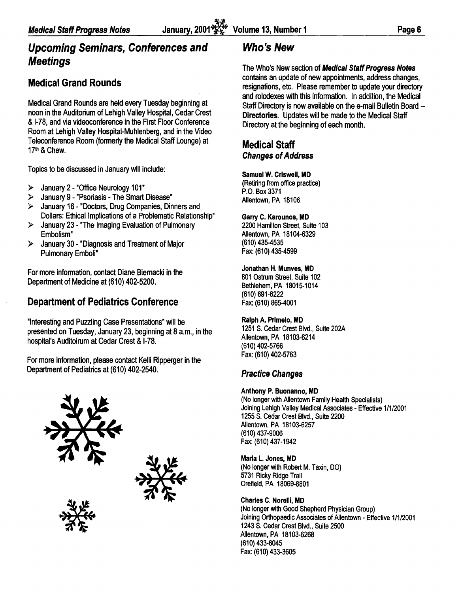## Upcoming Seminars, Conferences and **Meetings**

## Medical Grand Rounds

Medical Grand Rounds are held every Tuesday beginning at noon in the Auditorium of Lehigh Valley Hospital, Cedar Crest & 1-78, and via videoconference in the First Floor Conference Room at Lehigh Valley Hospital-Muhlenberg, and in the Video Teleconference Room (formerly the Medical Staff Lounge) at 17<sup>th</sup> & Chew.

Topics to be discussed in January will include:

- *);>* January 2- "Office Neurology 101"
- *);>* January 9 "Psoriasis The Smart Disease"
- *);>* January 16 -"Doctors, Drug Companies, Dinners and Dollars: Ethical Implications of a Problematic Relationship"
- *);>* January 23 "The Imaging Evaluation of Pulmonary Embolism"
- *);>* January 30 -"Diagnosis and Treatment of Major Pulmonary Emboli"

For more information, contact Diane Biernacki in the Department of Medicine at (610) 402-5200.

## Department of Pediatrics Conference

"Interesting and Puzzling Case Presentations• will be presented on Tuesday, January 23, beginning at 8 a.m., in the hospital's Auditoirum at Cedar Crest & 1-78.

For more information, please contact Kelli Ripperger in the Department of Pediatrics at (610) 402-2540.



## Who's New

The Who's New section of **Medical Staff Progress Notes** contains an update of new appointments, address changes, resignations, etc. Please remember to update your directory and rolodexes with this information. In addition, the Medical Staff Directory is now available on the e-mail Bulletin Board -- Directories. Updates will be made to the Medical Staff Directory at the beginning of each month.

#### Medical Staff Changes of Address

#### Samuel W. Criswell, MD

(Retiring from office practice) P.O. Box 3371 Allentown, PA 18106

#### Garry C. Karounos, MD

2200 Hamilton Street, Suite 103 Allentown, PA 18104-6329 (610) 435-4535 Fax: (610) 435-4599

#### Jonathan H. Munves, MD

801 Ostrum Street, Suite 102 Bethlehem, PA 18015-1014 (610) 691-6222 Fax: (610) 865-4001

#### Ralph A. Prlmelo, MD

1251 S. Cedar Crest Blvd., Suite 202A Allentown, PA 18103-6214 (610) 402-5766 Fax: (610) 402-5763

## Practice Changes

#### Anthony P. Buonanno, MD

(No longer with Allentown Family Health Specialists) Joining Lehigh Valley Medical Associates- Effective 1/1/2001 1255 S. Cedar Crest Blvd., Suite 2200 Allentown, PA 18103-6257 (610) 437-9006 Fax: (610) 437-1942

#### Maria L. Jones, MD (No longer with Robert M. Taxin, DO)

5731 Ricky Ridge Trail Orefield, PA 18069-8801

#### Charles C. Norelli, MD

(No longer with Good Shepherd Physician Group) Joining Orthopaedic Associates of Allentown- Effective 1/1/2001 1243 S. Cedar Crest Blvd., Suite 2500 Allentown, PA 18103-6268 (610) 433-6045 Fax: (610) 433-3605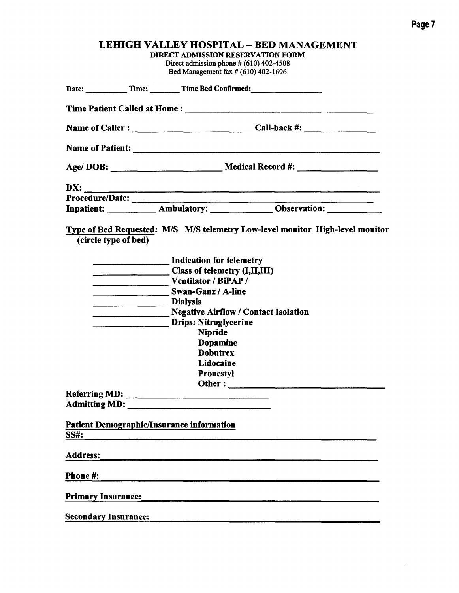|                                                      | <b>LEHIGH VALLEY HOSPITAL - BED MANAGEMENT</b><br>DIRECT ADMISSION RESERVATION FORM<br>Direct admission phone $\#$ (610) 402-4508<br>Bed Management fax # (610) 402-1696 |  |
|------------------------------------------------------|--------------------------------------------------------------------------------------------------------------------------------------------------------------------------|--|
|                                                      | Date: Time: Time: Time Bed Confirmed:                                                                                                                                    |  |
|                                                      |                                                                                                                                                                          |  |
|                                                      | Name of Caller : $\sqrt{2}$ Call-back #: $\sqrt{2}$ Call-back #:                                                                                                         |  |
|                                                      |                                                                                                                                                                          |  |
|                                                      |                                                                                                                                                                          |  |
| DX:                                                  | , kaominina dia 49.0000° mponina mpikambana amin'ny fivondronan-kaominin'i Paris-Amerika ao amin'ny fivondronan-kaominin'i No                                            |  |
|                                                      |                                                                                                                                                                          |  |
|                                                      |                                                                                                                                                                          |  |
| (circle type of bed)                                 | Type of Bed Requested: M/S M/S telemetry Low-level monitor High-level monitor                                                                                            |  |
|                                                      | Indication for telemetry                                                                                                                                                 |  |
|                                                      | Class of telemetry (I,II,III)                                                                                                                                            |  |
|                                                      | Ventilator / BiPAP /                                                                                                                                                     |  |
| <u> 1980 - Jan Barnett, fransk politik (d. 1980)</u> | Swan-Ganz / A-line                                                                                                                                                       |  |
|                                                      | <b>Dialysis</b>                                                                                                                                                          |  |
|                                                      | Negative Airflow / Contact Isolation                                                                                                                                     |  |
|                                                      | Drips: Nitroglycerine                                                                                                                                                    |  |
|                                                      | <b>Nipride</b>                                                                                                                                                           |  |
|                                                      | <b>Dopamine</b>                                                                                                                                                          |  |
|                                                      | <b>Dobutrex</b>                                                                                                                                                          |  |
|                                                      | Lidocaine                                                                                                                                                                |  |
|                                                      | <b>Pronestyl</b>                                                                                                                                                         |  |
|                                                      |                                                                                                                                                                          |  |
|                                                      | Referring MD:                                                                                                                                                            |  |
|                                                      |                                                                                                                                                                          |  |
|                                                      |                                                                                                                                                                          |  |
| <b>SS#:</b>                                          | <b>Patient Demographic/Insurance information</b><br><u> La maria de la capital de la capital de la capital de la capital de la capital de la capital de la capital d</u> |  |
|                                                      |                                                                                                                                                                          |  |
|                                                      |                                                                                                                                                                          |  |
| Phone #:                                             |                                                                                                                                                                          |  |
| <b>Primary Insurance:</b>                            |                                                                                                                                                                          |  |
| <b>Secondary Insurance:</b>                          |                                                                                                                                                                          |  |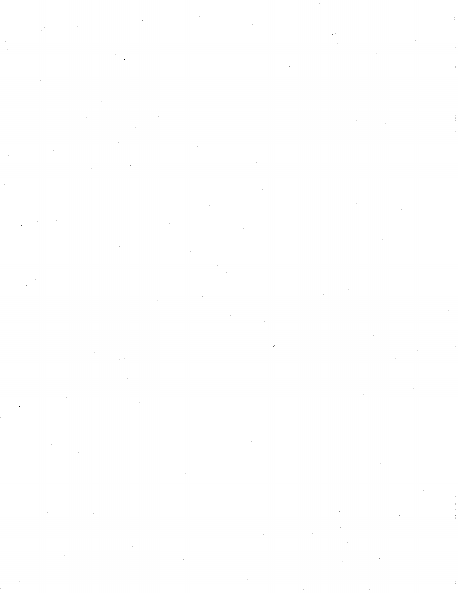$\sim$   $\sim$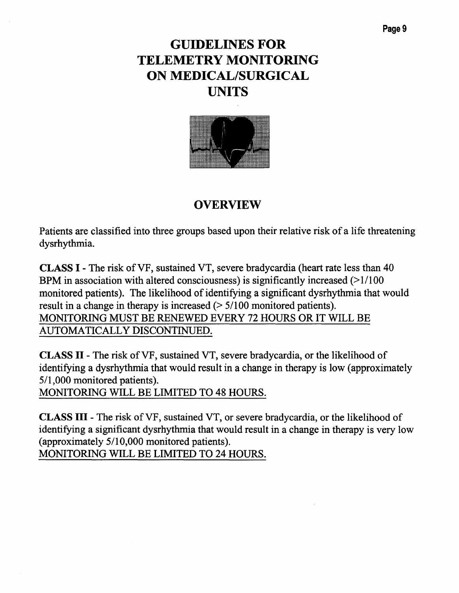## **GUIDELINES FOR TELEMETRY MONITORING ON MEDICAL/SURGICAL UNITS**



## **OVERVIEW**

Patients are classified into three groups based upon their relative risk of a life threatening dysrhythmia.

CLASS I - The risk of VF, sustained VT, severe bradycardia (heart rate less than 40 BPM in association with altered consciousness) is significantly increased  $(>1/100$ monitored patients). The likelihood of identifying a significant dysrhythmia that would result in a change in therapy is increased(> 5/100 monitored patients). MONITORING MUST BE RENEWED EVERY 72 HOURS OR IT WILL BE AUTOMATICALLY DISCONTINUED.

CLASS II - The risk of VF, sustained VT, severe bradycardia, or the likelihood of identifying a dysrhythmia that would result in a change in therapy is low (approximately 5/1,000 monitored patients). MONITORING WILL BE LIMITED TO 48 HOURS.

CLASS III- The risk ofVF, sustained VT, or severe bradycardia, or the likelihood of identifying a significant dysrhythmia that would result in a change in therapy is very low (approximately 5/10,000 monitored patients). MONITORING WILL BE LIMITED TO 24 HOURS.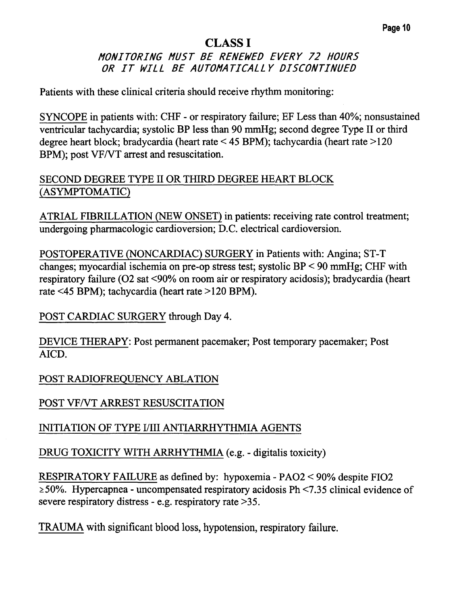## CLASS I

## */10NITORING 11UST BE RENEWED EVERY 72 HOURS OR IT WILL BE AUT0/1ATICALL Y DISCONTINUED*

Patients with these clinical criteria should receive rhythm monitoring:

SYNCOPE in patients with: CHF - or respiratory failure; EF Less than 40%; nonsustained ventricular tachycardia; systolic BP less than 90 mmHg; second degree Type II or third degree heart block; bradycardia (heart rate < 45 BPM); tachycardia (heart rate > 120 BPM); post VF/VT arrest and resuscitation.

## SECOND DEGREE TYPE II OR THIRD DEGREE HEART BLOCK (ASYMPTOMATIC)

ATRIAL FIBRILLATION (NEW ONSET) in patients: receiving rate control treatment; undergoing pharmacologic cardioversion; D.C. electrical cardioversion.

POSTOPERATIVE (NONCARDIAC) SURGERY in Patients with: Angina; ST-T changes; myocardial ischemia on pre-op stress test; systolic BP < 90 mmHg; CHF with respiratory failure (02 sat <90% on room air or respiratory acidosis); bradycardia (heart rate <45 BPM); tachycardia (heart rate > 120 BPM).

POST CARDIAC SURGERY through Day 4.

DEVICE THERAPY: Post permanent pacemaker; Post temporary pacemaker; Post AICD.

POST RADIOFREQUENCY ABLATION

POST *VFNT* ARREST RESUSCITATION

## INITIATION OF TYPE I/III ANTIARRHYTHMIA AGENTS

DRUG TOXICITY WITH ARRHYTHMIA (e.g.- digitalis toxicity)

RESPIRATORY FAILURE as defined by: hypoxemia -  $PAO2 < 90\%$  despite FIO2  $\geq$  50%. Hypercapnea - uncompensated respiratory acidosis Ph <7.35 clinical evidence of severe respiratory distress - e.g. respiratory rate >35.

TRAUMA with significant blood loss, hypotension, respiratory failure.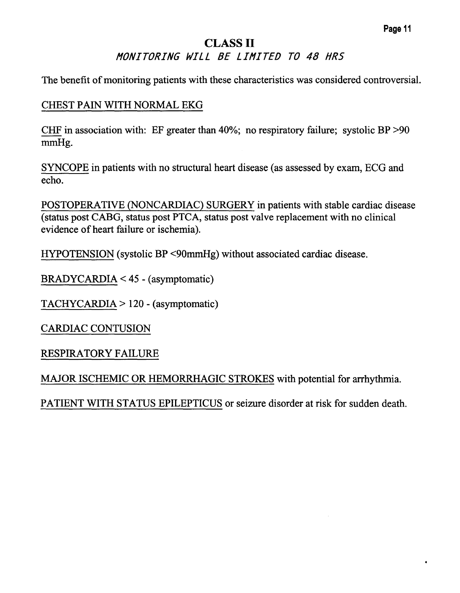## **CLASS II**

## *HONITORING WILL BE LIHITED TO 48 HRS*

The benefit of monitoring patients with these characteristics was considered controversial.

## CHEST PAIN WITH NORMAL EKG

CHF in association with: EF greater than 40%; no respiratory failure; systolic BP >90 mmHg.

SYNCOPE in patients with no structural heart disease (as assessed by exam, ECG and echo.

POSTOPERATIVE (NONCARDIAC) SURGERY in patients with stable cardiac disease (status post CABG, status post PTCA, status post valve replacement with no clinical evidence of heart failure or ischemia).

HYPOTENSION (systolic BP <90mmHg) without associated cardiac disease.

BRADYCARDIA< 45- (asymptomatic)

TACHYCARDIA> 120- (asymptomatic)

CARDIAC CONTUSION

RESPIRATORY FAILURE

MAJOR ISCHEMIC OR HEMORRHAGIC STROKES with potential for arrhythmia.

PATIENT WITH STATUS EPILEPTICUS or seizure disorder at risk for sudden death.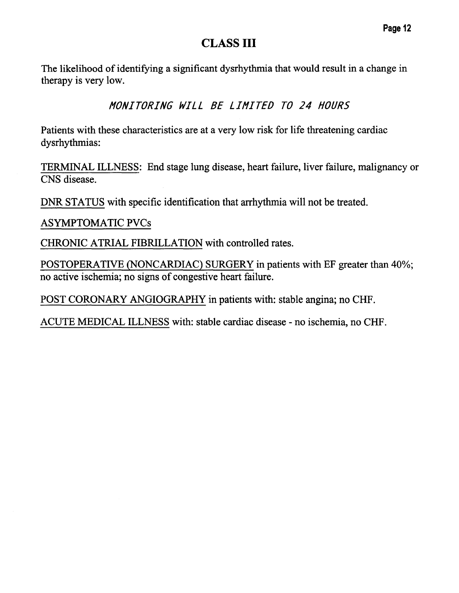## **CLASS** III

The likelihood of identifying a significant dysrhythmia that would result in a change in therapy is very low.

*HONITORING WILL BE LIHITED TO 24 HOURS* 

Patients with these characteristics are at a very low risk for life threatening cardiac dysrhythmias:

TERMINAL ILLNESS: End stage lung disease, heart failure, liver failure, malignancy or CNS disease.

DNR STATUS with specific identification that arrhythmia will not be treated.

ASYMPTOMATIC PVCs

CHRONIC ATRIAL FIBRILLATION with controlled rates.

POSTOPERATIVE (NONCARDIAC) SURGERY in patients with EF greater than 40%; no active ischemia; no signs of congestive heart failure.

POST CORONARY ANGIOGRAPHY in patients with: stable angina; no CHF.

ACUTE MEDICAL ILLNESS with: stable cardiac disease - no ischemia, no CHF.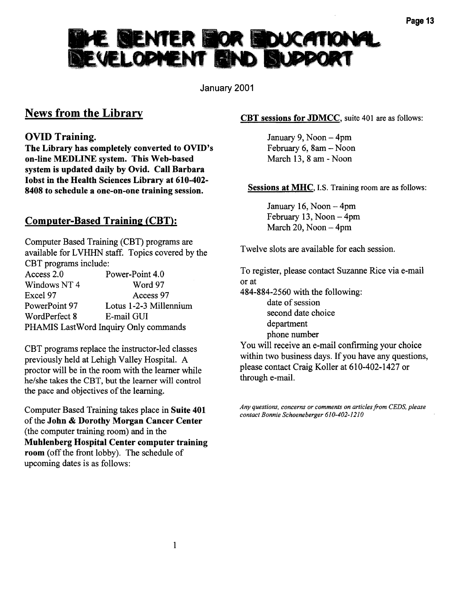# HE BENTER BOR BOUCATIONAL

January 2001

## News from the Library

## OVID Training.

The Library has completely converted to OVID's on-line MEDLINE system. This Web-based system is updated daily by Ovid. Call Barbara Jobst in the Health Sciences Library at 610-402- 8408 to schedule a one-on-one training session.

## Computer-Based Training (CBT):

Computer Based Training (CBT) programs are available for LVHHN staff. Topics covered by the CBT programs include:

Access 2.0 Power-Point 4.0 Windows NT 4 Word 97 Excel 97 Access 97 PowerPoint 97 Lotus 1-2-3 Millennium WordPerfect 8 E-mail GUI PHAMIS LastWord Inquiry Only commands

CBT programs replace the instructor-led classes previously held at Lehigh Valley Hospital. A proctor will be in the room with the learner while he/she takes the CBT, but the learner will control the pace and objectives of the learning.

Computer Based Training takes place in Suite 401 of the John & Dorothy Morgan Cancer Center (the computer training room) and in the Muhlenberg Hospital Center computer training room (off the front lobby). The schedule of upcoming dates is as follows:

#### CBT sessions for JDMCC, suite 401 are as follows:

January 9, Noon- 4pm February 6, 8am- Noon March 13,8 am- Noon

## Sessions at MHC, I.S. Training room are as follows:

January 16, Noon- 4pm February 13, Noon- 4pm March 20, Noon- 4pm

Twelve slots are available for each session.

To register, please contact Suzanne Rice via e-mail or at

484-884-2560 with the following:

date of session second date choice department

phone number

You will receive an e-mail confirming your choice within two business days. If you have any questions, please contact Craig Koller at 610-402-1427 or through e-mail.

*Any questions, concerns or comments on articles from CEDS, please contact Bonnie Schoeneberger 610-402-1210*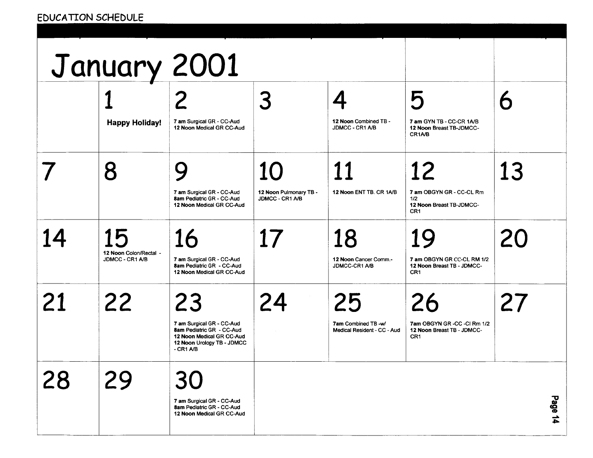## **EDUCATION SCHEDULE**

#### **J anuarv 2001 1** 12 **3**  Happy Holiday! 7 am Surgical GR - CC-Aud 12 Noon Medical GR CC-Aud **7** I **8** I **9 10**  7 am Surgical GR - CC-Aud 12 Noon Pulmonary TB -<br>8am Pediatric GR - CC-Aud JDMCC - CR1 A/B 8am Pediatric GR - CC-Aud 12 Noon Medical GR CC-Aud **14 15 16 17**  12 Noon Colon/Rectal -<br>JDMCC - CR1 A/B 7 am Surgical GR - CC-Aud Sam Pediatric GR - CC-Aud 12 Noon Medical GR CC-Aud **21 22 23 24**  7 am Surgical GR - CC-Aud Sam Pediatric GR - CC-Aud 12 Noon Medical GR CC-Aud 12 Noon Urology TB- JDMCC -CR1 NB **28**  I **29**  I **30**  7 am Surgical GR - CC-Aud Sam Pediatric GR - CC-Aud 12 Noon Medical GR CC-Aud **4**  12 Noon Combined TB - JDMCC- CR1 NB **11**  12 Noon ENT TB. CR 1A/B **18**  12 Noon Cancer Comm.- JDMCC-CR1 A/B **25**  7am Combined TB -w/ Medical Resident - CC - Aud **5**  7 am GYN TB- CC-CR 1NB 12 Noon Breast TB-JDMCC-CR1NB **12**  7 am OBGYN GR- CC-CL Rm 1/2 12 Noon Breast TB-JDMCC-CR1 **19**  7 am OBGYN GR CC-CL RM 1/2 12 Noon Breast TB - JDMCC-CR1 **26**  7am OBGYN GR -CC-CI Rm 1/2 12 Noon Breast TB - JDMCC-CR1 **6**  <sup>I</sup>**13**  <sup>I</sup>**20 27 Page 14**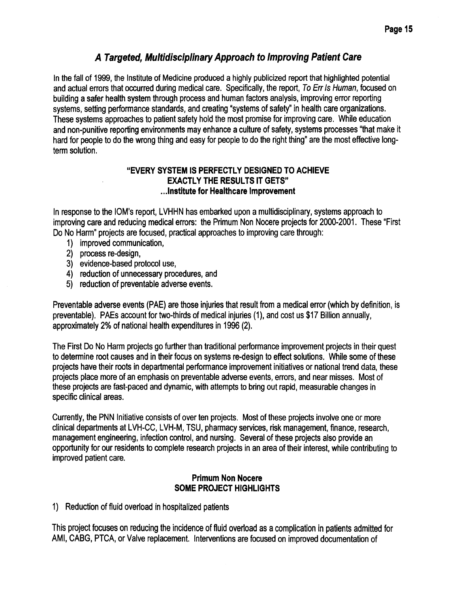## **A Targeted, Multidisciplinary Approach to Improving Patient Care**

In the fall of 1999, the Institute of Medicine produced a highly publicized report that highlighted potential and actual errors that occurred during medical care. Specifically, the report, To Err Is Human, focused on building a safer health system through process and human factors analysis, improving error reporting systems, setting performance standards, and creating "systems of safety" in health care organizations. These systems approaches to patient safety hold the most promise for improving care. While education and non-punitive reporting environments may enhance a culture of safety, systems processes "that make it hard for people to do the wrong thing and easy for people to do the right thing" are the most effective longterm solution.

#### **"EVERY SYSTEM IS PERFECTLY DESIGNED TO ACHIEVE EXACTLY THE RESULTS IT GETS"**  .. **.Institute for Healthcare Improvement**

In response to the 10M's report, LVHHN has embarked upon a multidisciplinary, systems approach to improving care and reducing medical errors: the Primum Non Nocere projects for 2000-2001. These "First Do No Harm" projects are focused, practical approaches to improving care through:

- 1) improved communication,
- 2) process re-design,
- 3) evidence-based protocol use,
- 4) reduction of unnecessary procedures, and
- 5) reduction of preventable adverse events.

Preventable adverse events (PAE) are those injuries that result from a medical error (which by definition, is preventable). PAEs account for two-thirds of medical injuries (1), and cost us \$17 Billion annually, approximately 2% of national health expenditures in 1996 (2).

The First Do No Harm projects go further than traditional performance improvement projects in their quest to determine root causes and in their focus on systems re-design to effect solutions. While some of these projects have their roots in departmental performance improvement initiatives or national trend data, these projects place more of an emphasis on preventable adverse events, errors, and near misses. Most of these projects are fast-paced and dynamic, with attempts to bring out rapid, measurable changes in specific clinical areas.

Currently, the PNN Initiative consists of over ten projects. Most of these projects involve one or more clinical departments at LVH-CC, LVH-M, TSU, pharmacy services, risk management, finance, research, management engineering, infection control, and nursing. Several of these projects also provide an opportunity for our residents to complete research projects in an area of their interest, while contributing to improved patient care.

#### **Primum Non Nocere SOME PROJECT HIGHLIGHTS**

1) Reduction of fluid overload in hospitalized patients

This project focuses on reducing the incidence of fluid overload as a complication in patients admitted for AMI, CABG, PTCA, or Valve replacement. Interventions are focused on improved documentation of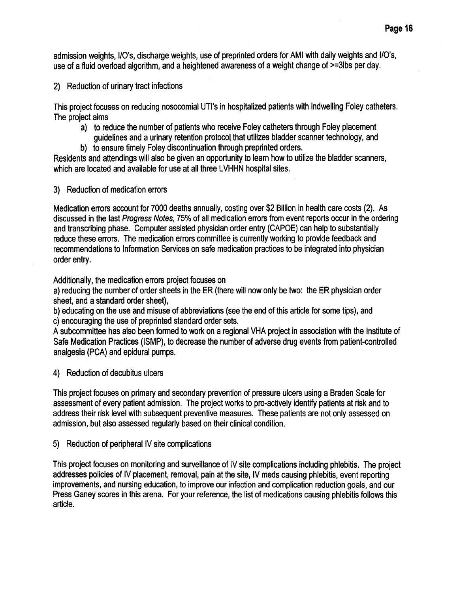admission weights, I/O's, discharge weights, use of preprinted orders for AMI with daily weights and I/O's, use of a fluid overload algorithm, and a heightened awareness of a weight change of >=31bs per day.

2) Reduction of urinary tract infections

This project focuses on reducing nosocomial UTI's in hospitalized patients with indwelling Foley catheters. The project aims

- a) to reduce the number of patients who receive Foley catheters through Foley placement guidelines and a urinary retention protocol that utilizes bladder scanner technology, and
- b) to ensure timely Foley discontinuation through preprinted orders.

Residents and attendings will also be given an opportunity to learn how to utilize the bladder scanners, which are located and available for use at all three LVHHN hospital sites.

3) Reduction of medication errors

Medication errors account for 7000 deaths annually, costing over \$2 Billion in health care costs (2). As discussed in the last Progress Notes, 75% of all medication errors from event reports occur in the ordering and transcribing phase. Computer assisted physician order entry (CAPOE) can help to substantially reduce these errors. The medication errors committee is currently working to provide feedback and recommendations to Information Services on safe medication practices to be integrated into physician order entry.

Additionally, the medication errors project focuses on

a) reducing the number of order sheets in the ER (there will now only be two: the ER physician order sheet, and a standard order sheet),

b) educating on the use and misuse of abbreviations (see the end of this article for some tips), and c) encouraging the use of preprinted standard order sets.

A subcommittee has also been formed to work on a regional VHA project in association with the Institute of Safe Medication Practices (ISMP), to decrease the number of adverse drug events from patient-controlled analgesia (PCA) and epidural pumps.

4) Reduction of decubitus ulcers

This project focuses on primary and secondary prevention of pressure ulcers using a Braden Scale for assessment of every patient admission. The project works to pro-actively identify patients at risk and to address their risk level with subsequent preventive measures. These patients are not only assessed on admission, but also assessed regularly based on their clinical condition.

5) Reduction of peripheral IV site complications

This project focuses on monitoring and surveillance of IV site complications including phlebitis. The project addresses policies of IV placement, removal, pain at the site, IV meds causing phlebitis, event reporting improvements, and nursing education, to improve our infection and complication reduction goals, and our Press Ganey scores in this arena. For your reference, the list of medications causing phlebitis follows this article.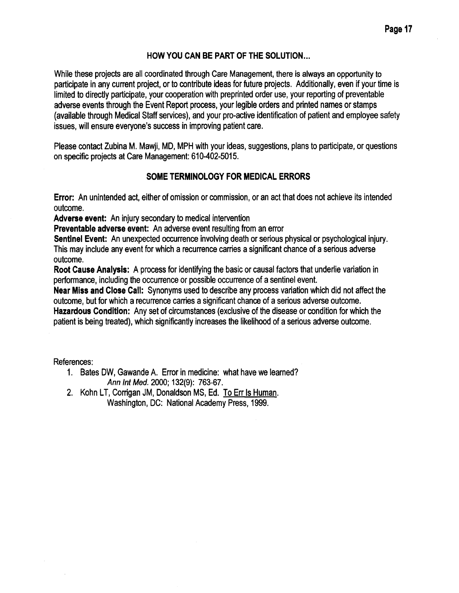#### **HOW YOU CAN BE PART OF THE SOLUTION...**

While these projects are all coordinated through Care Management, there is always an opportunity to participate in any current project, or to contribute ideas for future projects. Additionally, even if your time is limited to directly participate, your cooperation with preprinted order use, your reporting of preventable adverse events through the Event Report process, your legible orders and printed names or stamps (available through Medical Staff services), and your pro-active identification of patient and employee safety issues, will ensure everyone's success in improving patient care.

Please contact Zubina M. Mawji, MD, MPH with your ideas, suggestions, plans to participate, or questions on specific projects at Care Management: 610-402-5015.

#### **SOME TERMINOLOGY FOR MEDICAL ERRORS**

**Error:** An unintended act, either of omission or commission, or an act that does not achieve its intended outcome.

**Adverse event:** An injury secondary to medical intervention

**Preventable adverse event:** An adverse event resulting from an error

**Sentinel Event:** An unexpected occurrence involving death or serious physical or psychological injury. This may include any event for which a recurrence carries a significant chance of a serious adverse outcome.

**Root Cause Analysis:** A process for identifying the basic or causal factors that underlie variation in performance, including the occurrence or possible occurrence of a sentinel event.

**Near Miss and Close Call:** Synonyms used to describe any process variation which did not affect the outcome, but for which a recurrence carries a significant chance of a serious adverse outcome. **Hazardous Condition:** Any set of circumstances (exclusive of the disease or condition for which the patient is being treated), which significantly increases the likelihood of a serious adverse outcome.

References:

- 1. Bates OW, Gawande A. Error in medicine: what have we learned? Ann lnt Med. 2000; 132(9): 763-67.
- 2. Kohn LT, Corrigan JM, Donaldson MS, Ed. To Err Is Human. Washington, DC: National Academy Press, 1999.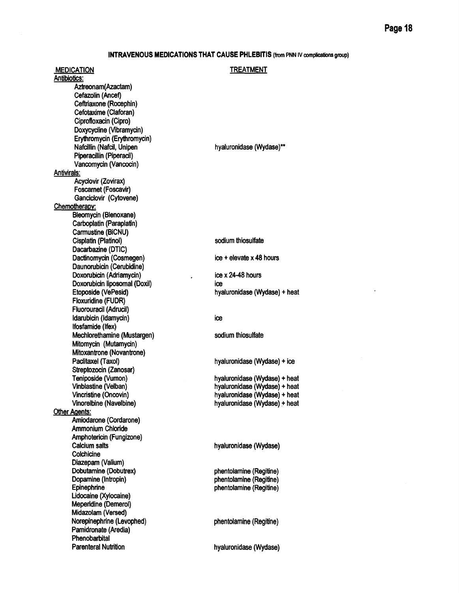$\ddot{\phantom{0}}$ 

## **INTRAVENOUS MEDICATIONS THAT CAUSE PHLEBITIS (from PNN IV complications group)**

| <b>MEDICATION</b>             | <b>TREATMENT</b>              |
|-------------------------------|-------------------------------|
| Antibiotics:                  |                               |
| Aztreonam(Azactam)            |                               |
| Cefazolin (Ancef)             |                               |
| Ceftriaxone (Rocephin)        |                               |
| Cefotaxime (Claforan)         |                               |
| Ciprofloxacin (Cipro)         |                               |
| Doxycycline (Vibramycin)      |                               |
| Erythromycin (Erythromycin)   |                               |
| Nafcillin (Nafcil, Unipen     | hyaluronidase (Wydase)**      |
| Piperacillin (Piperacil)      |                               |
| Vancomycin (Vancocin)         |                               |
| <b>Antivirals:</b>            |                               |
| Acyclovir (Zovirax)           |                               |
| <b>Foscarnet (Foscavir)</b>   |                               |
| Ganciclovir (Cytovene)        |                               |
| <u>Chemotherapy:</u>          |                               |
| Bleomycin (Blenoxane)         |                               |
| Carboplatin (Paraplatin)      |                               |
| Carmustine (BiCNU)            |                               |
| Cisplatin (Platinol)          | sodium thiosulfate            |
| Dacarbazine (DTIC)            |                               |
| Dactinomycin (Cosmegen)       | ice + elevate x 48 hours      |
| Daunorubicin (Cerubidine)     |                               |
| Doxorubicin (Adriamycin)      | ice x 24-48 hours             |
| Doxorubicin liposomal (Doxil) | ice                           |
| Etoposide (VePesid)           | hyaluronidase (Wydase) + heat |
| Floxuridine (FUDR)            |                               |
| Fluorouracil (Adrucil)        |                               |
| Idarubicin (Idamycin)         | ice                           |
| Ifosfamide (Ifex)             |                               |
| Mechlorethamine (Mustargen)   | sodium thiosulfate            |
| Mitomycin (Mutamycin)         |                               |
| Mitoxantrone (Novantrone)     |                               |
| Paclitaxel (Taxol)            | hyaluronidase (Wydase) + ice  |
| Streptozocin (Zanosar)        |                               |
| Teniposide (Vumon)            | hyaluronidase (Wydase) + heat |
| Vinblastine (Velban)          | hyaluronidase (Wydase) + heat |
| Vincristine (Oncovin)         | hyaluronidase (Wydase) + heat |
| Vinorelbine (Navelbine)       | hyaluronidase (Wydase) + heat |
| <b>Other Agents:</b>          |                               |
| Amiodarone (Cordarone)        |                               |
| <b>Ammonium Chloride</b>      |                               |
| Amphotericin (Fungizone)      |                               |
| <b>Calcium salts</b>          | hyaluronidase (Wydase)        |
| Colchicine                    |                               |
| Diazepam (Valium)             |                               |
| Dobutamine (Dobutrex)         | phentolamine (Regitine)       |
| Dopamine (Intropin)           | phentolamine (Regitine)       |
| Epinephrine                   | phentolamine (Regitine)       |
| Lidocaine (Xylocaine)         |                               |
| Meperidine (Demerol)          |                               |
| Midazolam (Versed)            |                               |
| Norepinephrine (Levophed)     | phentolamine (Regitine)       |
| Pamidronate (Aredia)          |                               |
| Phenobarbital                 |                               |
| <b>Parenteral Nutrition</b>   |                               |
|                               | hyaluronidase (Wydase)        |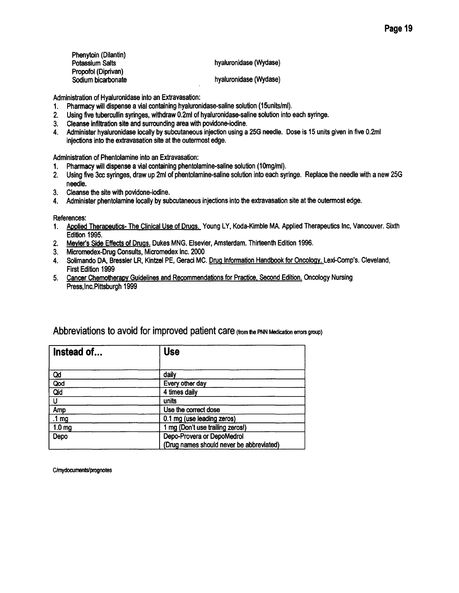| Phenytoin (Dilantin) |                        |
|----------------------|------------------------|
| Potassium Salts      | hyaluronidase (Wydase) |
| Propofol (Diprivan)  |                        |
| Sodium bicarbonate   | hyaluronidase (Wydase) |

Administration of Hyaluronidase into an Extravasation:

 $\sim$   $\sim$ 

- 1. Pharmacy will dispense a vial containing hyaluronidase-saline solution (15units/ml).
- 2. Using five tubercullin syringes, withdraw 0.2ml of hyaluronidase-saline solution into each syringe.
- 3. Cleanse infiltration site and surrounding area with povidone-iodine.
- 4. Administer hyaluronidase locally by subcutaneous injection using a 25G needle. Dose is 15 units given in five 0.2ml injections into the extravasation site at the outermost edge.

Administration of Phentolamine into an Extravasation:

- 1. Pharmacy will dispense a vial containing phentolamine-saline solution (10mg/ml).
- 2. Using five 3cc syringes, draw up 2ml of phentolamine-saline solution into each syringe. Replace the needle with a new 25G needle.
- 3. Cleanse the site with povidone-iodine.
- 4. Administer phentolamine locally by subcutaneous injections into the extravasation site at the outermost edge.

References:

- 1. Applied Therapeutics- The Clinical Use of Drugs. Young LY, Koda-Kimble MA. Applied Therapeutics Inc, Vancouver. Sixth Edition 1995.
- 2. Meyler's Side Effects of Drugs. Dukes MNG. Elsevier, Amsterdam. Thirteenth Edition 1996.
- 3. Micromedex-Drug Consults, Micromedex Inc. 2000
- 4. Solimando DA, Bressler LR, Kintzel PE, Geraci MC. Drug Information Handbook for Oncology. Lexi-Comp's. Cleveland, First Edition 1999
- 5. Cancer Chemotherapy Guidelines and Recommendations for Practice. Second Edition. Oncology Nursing Press,lnc.Pittsburgh 1999

| Instead of        | <b>Use</b>                                                             |  |
|-------------------|------------------------------------------------------------------------|--|
|                   | daily                                                                  |  |
| Qd<br>Qod         | Every other day                                                        |  |
| Qid               | 4 times daily                                                          |  |
| U                 | units                                                                  |  |
| Amp               | Use the correct dose                                                   |  |
| .1 <sub>mg</sub>  | 0.1 mg (use leading zeros)                                             |  |
| 1.0 <sub>mg</sub> | 1 mg (Don't use trailing zeros!)                                       |  |
| Depo              | Depo-Provera or DepoMedrol<br>(Drug names should never be abbreviated) |  |

#### Abbreviations to avoid for improved patient care (from the PNN Medication errors group)

C/mydocuments/prognotes